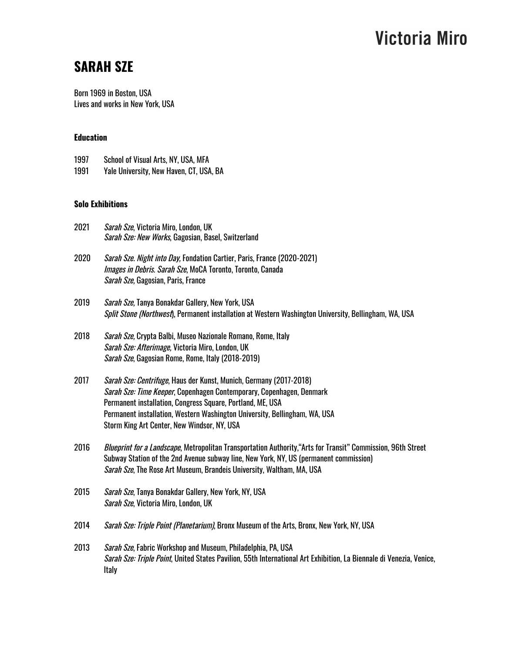### **SARAH SZE**

Born 1969 in Boston, USA Lives and works in New York, USA

### **Education**

1991 Yale University, New Haven, CT, USA, BA

### **Solo Exhibitions**

| 2021 | Sarah Sze, Victoria Miro, London, UK<br>Sarah Sze: New Works, Gagosian, Basel, Switzerland                                                                                                                                                                                                                                            |
|------|---------------------------------------------------------------------------------------------------------------------------------------------------------------------------------------------------------------------------------------------------------------------------------------------------------------------------------------|
| 2020 | Sarah Sze. Night into Day, Fondation Cartier, Paris, France (2020-2021)<br><i>Images in Debris. Sarah Sze</i> , MoCA Toronto, Toronto, Canada<br>Sarah Sze, Gagosian, Paris, France                                                                                                                                                   |
| 2019 | Sarah Sze, Tanya Bonakdar Gallery, New York, USA<br>Split Stone (Northwest), Permanent installation at Western Washington University, Bellingham, WA, USA                                                                                                                                                                             |
| 2018 | Sarah Sze, Crypta Balbi, Museo Nazionale Romano, Rome, Italy<br>Sarah Sze: Afterimage, Victoria Miro, London, UK<br>Sarah Sze, Gagosian Rome, Rome, Italy (2018-2019)                                                                                                                                                                 |
| 2017 | Sarah Sze: Centrifuge, Haus der Kunst, Munich, Germany (2017-2018)<br>Sarah Sze: Time Keeper, Copenhagen Contemporary, Copenhagen, Denmark<br>Permanent installation, Congress Square, Portland, ME, USA<br>Permanent installation, Western Washington University, Bellingham, WA, USA<br>Storm King Art Center, New Windsor, NY, USA |
| 2016 | Blueprint for a Landscape, Metropolitan Transportation Authority, "Arts for Transit" Commission, 96th Street<br>Subway Station of the 2nd Avenue subway line, New York, NY, US (permanent commission)<br>Sarah Sze, The Rose Art Museum, Brandeis University, Waltham, MA, USA                                                        |
| 2015 | Sarah Sze, Tanya Bonakdar Gallery, New York, NY, USA<br>Sarah Sze, Victoria Miro, London, UK                                                                                                                                                                                                                                          |
| 2014 | Sarah Sze: Triple Point (Planetarium), Bronx Museum of the Arts, Bronx, New York, NY, USA                                                                                                                                                                                                                                             |
| 2013 | Sarah Sze, Fabric Workshop and Museum, Philadelphia, PA, USA<br>Sarah Sze: Triple Point, United States Pavilion, 55th International Art Exhibition, La Biennale di Venezia, Venice,<br><b>Italy</b>                                                                                                                                   |
|      |                                                                                                                                                                                                                                                                                                                                       |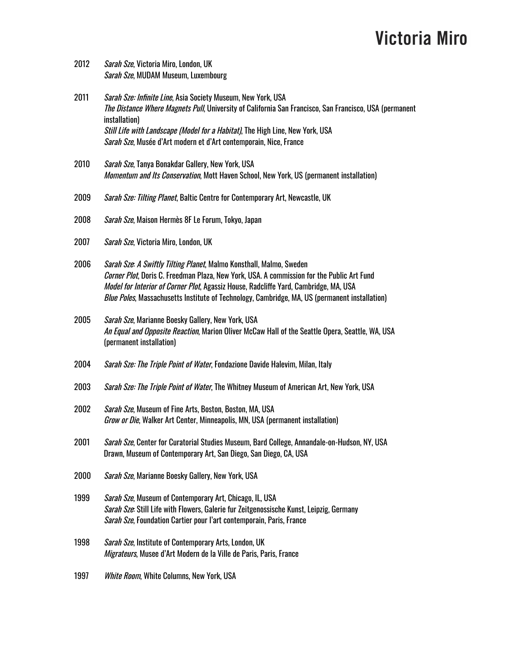- 2012 Sarah Sze, Victoria Miro, London, UK Sarah Sze, MUDAM Museum, Luxembourg
- 2011 Sarah Sze: Infinite Line, Asia Society Museum, New York, USA The Distance Where Magnets Pull, University of California San Francisco, San Francisco, USA (permanent installation) Still Life with Landscape (Model for a Habitat), The High Line, New York, USA Sarah Sze, Musée d'Art modern et d'Art contemporain, Nice, France
- 2010 Sarah Sze, Tanya Bonakdar Gallery, New York, USA Momentum and Its Conservation, Mott Haven School, New York, US (permanent installation)
- 2009 Sarah Sze: Tilting Planet, Baltic Centre for Contemporary Art, Newcastle, UK
- 2008 Sarah Sze, Maison Hermès 8F Le Forum, Tokyo, Japan
- 2007 Sarah Sze, Victoria Miro, London, UK
- 2006 Sarah Sze: A Swiftly Tilting Planet, Malmo Konsthall, Malmo, Sweden Corner Plot, Doris C. Freedman Plaza, New York, USA. A commission for the Public Art Fund Model for Interior of Corner Plot, Agassiz House, Radcliffe Yard, Cambridge, MA, USA Blue Poles, Massachusetts Institute of Technology, Cambridge, MA, US (permanent installation)
- 2005 Sarah Sze, Marianne Boesky Gallery, New York, USA An Equal and Opposite Reaction, Marion Oliver McCaw Hall of the Seattle Opera, Seattle, WA, USA (permanent installation)
- 2004 Sarah Sze: The Triple Point of Water, Fondazione Davide Halevim, Milan, Italy
- 2003 Sarah Sze: The Triple Point of Water, The Whitney Museum of American Art, New York, USA
- 2002 Sarah Sze, Museum of Fine Arts, Boston, Boston, MA, USA Grow or Die, Walker Art Center, Minneapolis, MN, USA (permanent installation)
- 2001 Sarah Sze, Center for Curatorial Studies Museum, Bard College, Annandale-on-Hudson, NY, USA Drawn, Museum of Contemporary Art, San Diego, San Diego, CA, USA
- 2000 Sarah Sze, Marianne Boesky Gallery, New York, USA
- 1999 Sarah Sze, Museum of Contemporary Art, Chicago, IL, USA Sarah Sze: Still Life with Flowers, Galerie fur Zeitgenossische Kunst, Leipzig, Germany Sarah Sze, Foundation Cartier pour l'art contemporain, Paris, France
- 1998 Sarah Sze, Institute of Contemporary Arts, London, UK Migrateurs, Musee d'Art Modern de la Ville de Paris, Paris, France
- 1997 White Room, White Columns, New York, USA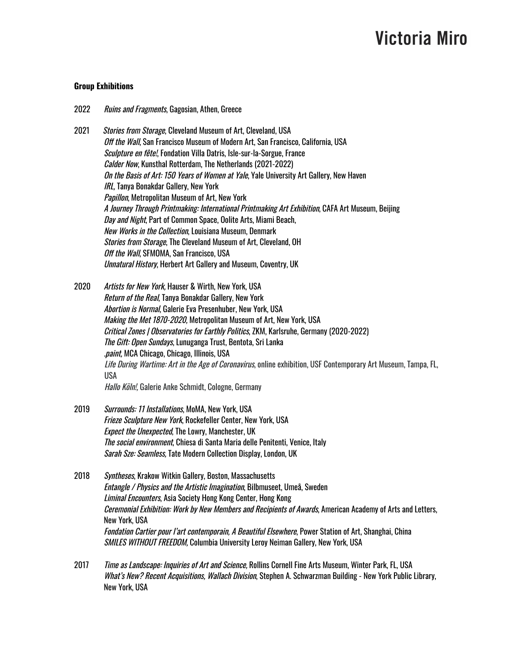#### **Group Exhibitions**

- 2022 Ruins and Fragments, Gagosian, Athen, Greece
- 2021 Stories from Storage, Cleveland Museum of Art, Cleveland, USA Off the Wall, San Francisco Museum of Modern Art, San Francisco, California, USA Sculpture en fête!, Fondation Villa Datris, Isle-sur-la-Sorgue, France Calder Now, Kunsthal Rotterdam, The Netherlands (2021-2022) On the Basis of Art: 150 Years of Women at Yale, Yale University Art Gallery, New Haven IRL, Tanya Bonakdar Gallery, New York Papillon, Metropolitan Museum of Art, New York A Journey Through Printmaking: International Printmaking Art Exhibition, CAFA Art Museum, Beijing Day and Night, Part of Common Space, Oolite Arts, Miami Beach, New Works in the Collection, Louisiana Museum, Denmark Stories from Storage, The Cleveland Museum of Art, Cleveland, OH Off the Wall, SFMOMA, San Francisco, USA Unnatural History, Herbert Art Gallery and Museum, Coventry, UK
- 2020 Artists for New York, Hauser & Wirth, New York, USA Return of the Real, Tanya Bonakdar Gallery, New York Abortion is Normal, Galerie Eva Presenhuber, New York, USA Making the Met 1870-2020, Metropolitan Museum of Art, New York, USA Critical Zones | Observatories for Earthly Politics, ZKM, Karlsruhe, Germany (2020-2022) The Gift: Open Sundays, Lunuganga Trust, Bentota, Sri Lanka .paint, MCA Chicago, Chicago, Illinois, USA Life During Wartime: Art in the Age of Coronavirus, online exhibition, USF Contemporary Art Museum, Tampa, FL, USA Hallo Köln!, Galerie Anke Schmidt, Cologne, Germany
- 2019 Surrounds: 11 Installations, MoMA, New York, USA Frieze Sculpture New York, Rockefeller Center, New York, USA Expect the Unexpected, The Lowry, Manchester, UK The social environment, Chiesa di Santa Maria delle Penitenti, Venice, Italy Sarah Sze: Seamless, Tate Modern Collection Display, London, UK
- 2018 [Syntheses](https://www.krakowwitkingallery.com/synthese-group-exhibition-2018), Krakow Witkin Gallery, Boston, [Massachusetts](https://www.google.com/maps/place/Barbara+Krakow+Gallery/@42.3521104,-71.072812,18z/data=!4m2!3m1!1s0x89e37a751f8fc22d:0x134abef11979f2df) Entangle / Physics and the Artistic Imagination, Bilbmuseet, Umeå, Sweden Liminal Encounters, Asia Society Hong Kong Center, Hong Kong Ceremonial Exhibition: Work by New Members and Recipients of Awards, American Academy of Arts and Letters, New York, USA Fondation Cartier pour l'art contemporain, A Beautiful Elsewhere, Power Station of Art, Shanghai, China SMILES WITHOUT FREEDOM, Columbia University Leroy Neiman Gallery, New York, USA
- 2017 *Time as Landscape: Inquiries of Art and Science*, Rollins Cornell Fine Arts Museum, Winter Park, FL, USA What's New? Recent Acquisitions, Wallach Division, Stephen A. Schwarzman Building - New York Public Library, New York, USA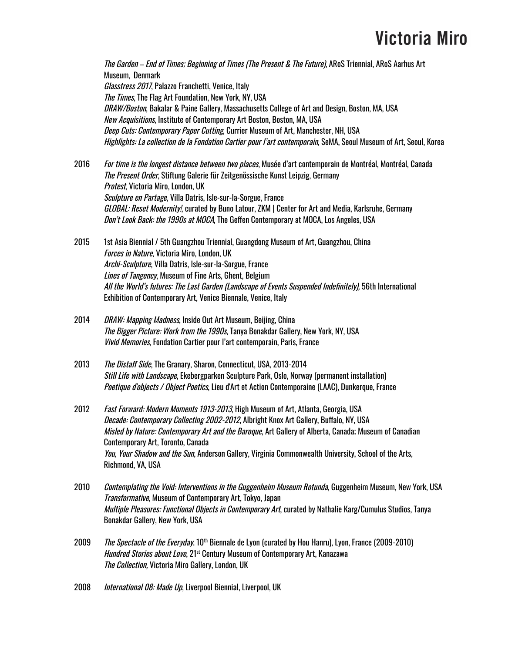The Garden – End of Times; Beginning of Times (The Present & The Future), ARoS Triennial, ARoS Aarhus Art Museum, Denmark Glasstress 2017, Palazzo Franchetti, Venice, Italy The Times, The Flag Art Foundation, New York, NY, USA DRAW/Boston, Bakalar & Paine Gallery, Massachusetts College of Art and Design, Boston, MA, USA New Acquisitions, Institute of Contemporary Art Boston, Boston, MA, USA Deep Cuts: Contemporary Paper Cutting, Currier Museum of Art, Manchester, NH, USA Highlights: La collection de la Fondation Cartier pour l'art contemporain, SeMA, Seoul Museum of Art, Seoul, Korea

2016 *For time is the longest distance between two places*, Musée d'art contemporain de Montréal, Montréal, Canada The Present Order, Stiftung Galerie für Zeitgenössische Kunst Leipzig, Germany Protest, Victoria Miro, London, UK Sculpture en Partage, Villa Datris, Isle-sur-la-Sorgue, France GLOBAL: Reset Modernity!, curated by Buno Latour, ZKM | Center for Art and Media, Karlsruhe, Germany Don't Look Back: the 1990s at MOCA, The Geffen Contemporary at MOCA, Los Angeles, USA

2015 1st Asia Biennial / 5th Guangzhou Triennial, Guangdong Museum of Art, Guangzhou, China Forces in Nature, Victoria Miro, London, UK Archi-Sculpture, Villa Datris, Isle-sur-la-Sorgue, France Lines of Tangency, Museum of Fine Arts, Ghent, Belgium All the World's futures: The Last Garden (Landscape of Events Suspended Indefinitely), 56th International Exhibition of Contemporary Art, Venice Biennale, Venice, Italy

- 2014 DRAW: Mapping Madness, Inside Out Art Museum, Beijing, China The Bigger Picture: Work from the 1990s, Tanya Bonakdar Gallery, New York, NY, USA Vivid Memories, Fondation Cartier pour l'art contemporain, Paris, France
- 2013 The Distaff Side, The Granary, Sharon, Connecticut, USA, 2013-2014 Still Life with Landscape, Ekebergparken Sculpture Park, Oslo, Norway (permanent installation) Poetique d'objects / Object Poetics, Lieu d'Art et Action Contemporaine (LAAC), Dunkerque, France

2012 *Fast Forward: Modern Moments 1913-2013*, High Museum of Art, Atlanta, Georgia, USA Decade: Contemporary Collecting 2002-2012, Albright Knox Art Gallery, Buffalo, NY, USA Misled by Nature: Contemporary Art and the Baroque, Art Gallery of Alberta, Canada; Museum of Canadian Contemporary Art, Toronto, Canada You, Your Shadow and the Sun, Anderson Gallery, Virginia Commonwealth University, School of the Arts, Richmond, VA, USA

- 2010 Contemplating the Void: Interventions in the Guggenheim Museum Rotunda, Guggenheim Museum, New York, USA Transformative, Museum of Contemporary Art, Tokyo, Japan Multiple Pleasures: Functional Objects in Contemporary Art, curated by Nathalie Karg/Cumulus Studios, Tanya Bonakdar Gallery, New York, USA
- 2009 *The Spectacle of the Everyday*. 10<sup>th</sup> Biennale de Lyon (curated by Hou Hanru), Lyon, France (2009-2010) *Hundred Stories about Love*, 21<sup>st</sup> Century Museum of Contemporary Art, Kanazawa The Collection, Victoria Miro Gallery, London, UK
- 2008 *International 08: Made Up*, Liverpool Biennial, Liverpool, UK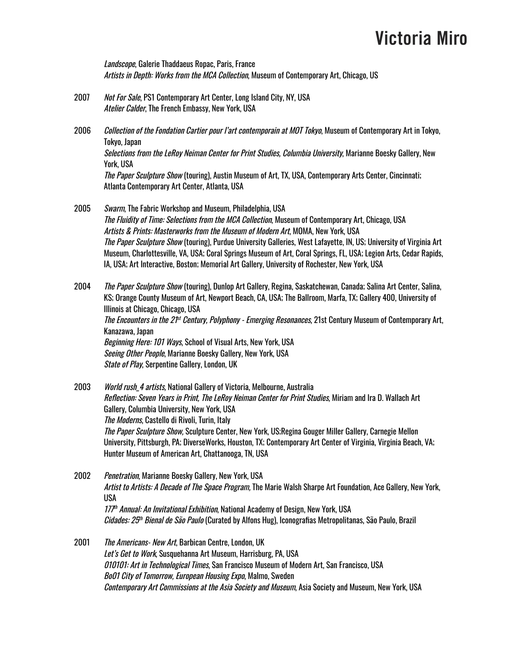Landscope, Galerie Thaddaeus Ropac, Paris, France Artists in Depth: Works from the MCA Collection, Museum of Contemporary Art, Chicago, US

- 2007 Not For Sale, PS1 Contemporary Art Center, Long Island City, NY, USA Atelier Calder, The French Embassy, New York, USA
- 2006 Collection of the Fondation Cartier pour l'art contemporain at MOT Tokyo, Museum of Contemporary Art in Tokyo, Tokyo, Japan Selections from the LeRoy Neiman Center for Print Studies, Columbia University, Marianne Boesky Gallery, New York, USA The Paper Sculpture Show (touring), Austin Museum of Art, TX, USA, Contemporary Arts Center, Cincinnati; Atlanta Contemporary Art Center, Atlanta, USA
- 2005 Swarm, The Fabric Workshop and Museum, Philadelphia, USA The Fluidity of Time: Selections from the MCA Collection, Museum of Contemporary Art, Chicago, USA Artists & Prints: Masterworks from the Museum of Modern Art, MOMA, New York, USA The Paper Sculpture Show (touring), Purdue University Galleries, West Lafayette, IN, US; University of Virginia Art Museum, Charlottesville, VA, USA; Coral Springs Museum of Art, Coral Springs, FL, USA; Legion Arts, Cedar Rapids, IA, USA; Art Interactive, Boston; Memorial Art Gallery, University of Rochester, New York, USA

2004 *The Paper Sculpture Show* (touring), Dunlop Art Gallery, Regina, Saskatchewan, Canada; Salina Art Center, Salina, KS; Orange County Museum of Art, Newport Beach, CA, USA; The Ballroom, Marfa, TX; Gallery 400, University of Illinois at Chicago, Chicago, USA The Encounters in the 21<sup>st</sup> Century, Polyphony - Emerging Resonances, 21st Century Museum of Contemporary Art, Kanazawa, Japan Beginning Here: 101 Ways, School of Visual Arts, New York, USA Seeing Other People, Marianne Boesky Gallery, New York, USA State of Play, Serpentine Gallery, London, UK

- 2003 *World rush 4 artists*, National Gallery of Victoria, Melbourne, Australia Reflection: Seven Years in Print, The LeRoy Neiman Center for Print Studies, Miriam and Ira D. Wallach Art Gallery, Columbia University, New York, USA The Moderns, Castello di Rivoli, Turin, Italy The Paper Sculpture Show, Sculpture Center, New York, US;Regina Gouger Miller Gallery, Carnegie Mellon University, Pittsburgh, PA; DiverseWorks, Houston, TX; Contemporary Art Center of Virginia, Virginia Beach, VA; Hunter Museum of American Art, Chattanooga, TN, USA
- 2002 Penetration, Marianne Boesky Gallery, New York, USA Artist to Artists: A Decade of The Space Program, The Marie Walsh Sharpe Art Foundation, Ace Gallery, New York, USA 177<sup>th</sup> Annual: An Invitational Exhibition, National Academy of Design, New York, USA *Cidades: 25<sup>th</sup> Bienal de São Paulo* (Curated by Alfons Hug), Iconografias Metropolitanas, São Paulo, Brazil
- 2001 The Americans- New Art, Barbican Centre, London, UK Let's Get to Work, Susquehanna Art Museum, Harrisburg, PA, USA 010101: Art in Technological Times, San Francisco Museum of Modern Art, San Francisco, USA Bo01 City of Tomorrow, European Housing Expo, Malmo, Sweden Contemporary Art Commissions at the Asia Society and Museum, Asia Society and Museum, New York, USA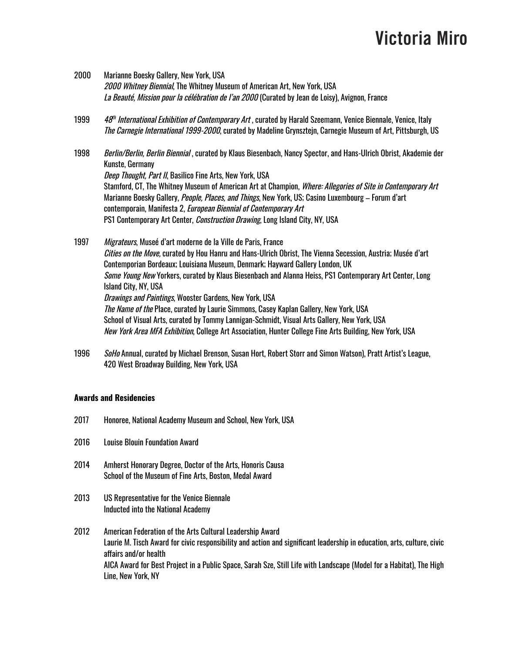- 2000 Marianne Boesky Gallery, New York, USA 2000 Whitney Biennial, The Whitney Museum of American Art, New York, USA La Beauté, Mission pour la célébration de l'an 2000 (Curated by Jean de Loisy), Avignon, France
- 1999 <sup>th</sup> International Exhibition of Contemporary Art , curated by Harald Szeemann, Venice Biennale, Venice, Italy The Carnegie International 1999-2000, curated by Madeline Grynsztejn, Carnegie Museum of Art, Pittsburgh, US
- 1998 Berlin/Berlin, Berlin Biennial, curated by Klaus Biesenbach, Nancy Spector, and Hans-Ulrich Obrist, Akademie der Kunste, Germany Deep Thought, Part II, Basilico Fine Arts, New York, USA Stamford, CT, The Whitney Museum of American Art at Champion, *Where: Allegories of Site in Contemporary Art* Marianne Boesky Gallery, *People, Places, and Things*, New York, US; Casino Luxembourg – Forum d'art contemporain, Manifesta 2, European Biennial of Contemporary Art PS1 Contemporary Art Center, *Construction Drawing*, Long Island City, NY, USA
- 1997 Migrateurs, Museé d'art moderne de la Ville de Paris, France Cities on the Move, curated by Hou Hanru and Hans-Ulrich Obrist, The Vienna Secession, Austria; Musée d'art Contemporian Bordeaux; Louisiana Museum, Denmark; Hayward Gallery London, UK Some Young New Yorkers, curated by Klaus Biesenbach and Alanna Heiss, PS1 Contemporary Art Center, Long Island City, NY, USA Drawings and Paintings, Wooster Gardens, New York, USA The Name of the Place, curated by Laurie Simmons, Casey Kaplan Gallery, New York, USA School of Visual Arts, curated by Tommy Lannigan-Schmidt, Visual Arts Gallery, New York, USA New York Area MFA Exhibition, College Art Association, Hunter College Fine Arts Building, New York, USA
- 1996 SoHo Annual, curated by Michael Brenson, Susan Hort, Robert Storr and Simon Watson), Pratt Artist's League, 420 West Broadway Building, New York, USA

#### **Awards and Residencies**

- 2017 Honoree, National Academy Museum and School, New York, USA
- 2016 Louise Blouin Foundation Award
- 2014 Amherst Honorary Degree, Doctor of the Arts, Honoris Causa School of the Museum of Fine Arts, Boston, Medal Award
- 2013 US Representative for the Venice Biennale Inducted into the National Academy
- 2012 American Federation of the Arts Cultural Leadership Award Laurie M. Tisch Award for civic responsibility and action and significant leadership in education, arts, culture, civic affairs and/or health AICA Award for Best Project in a Public Space, Sarah Sze, Still Life with Landscape (Model for a Habitat), The High Line, New York, NY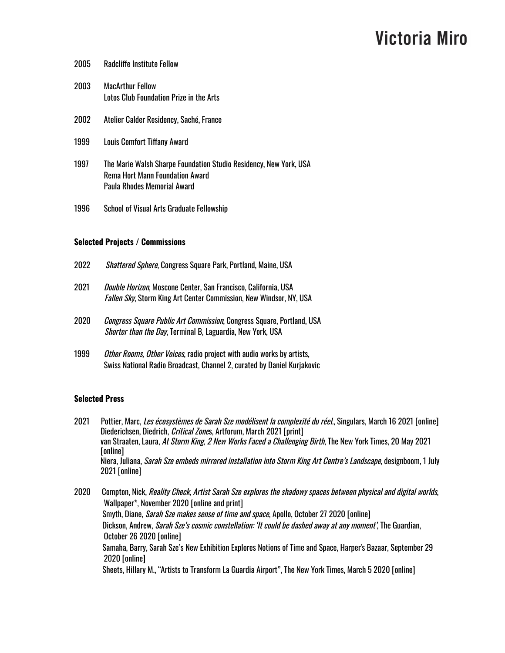| 2005 | <b>Radcliffe Institute Fellow</b>                                                                                                   |
|------|-------------------------------------------------------------------------------------------------------------------------------------|
| 2003 | <b>MacArthur Fellow</b><br>Lotos Club Foundation Prize in the Arts                                                                  |
| 2002 | Atelier Calder Residency, Saché, France                                                                                             |
| 1999 | <b>Louis Comfort Tiffany Award</b>                                                                                                  |
| 1997 | The Marie Walsh Sharpe Foundation Studio Residency, New York, USA<br>Rema Hort Mann Foundation Award<br>Paula Rhodes Memorial Award |
| 1996 | <b>School of Visual Arts Graduate Fellowship</b>                                                                                    |

#### **Selected Projects / Commissions**

| 2022 | <i>Shattered Sphere</i> , Congress Square Park, Portland, Maine, USA                                                                                 |  |
|------|------------------------------------------------------------------------------------------------------------------------------------------------------|--|
| 2021 | <i>Double Horizon</i> , Moscone Center, San Francisco, California, USA<br><i>Fallen Sky</i> , Storm King Art Center Commission, New Windsor, NY, USA |  |
| 2020 | <i>Congress Square Public Art Commission</i> , Congress Square, Portland, USA<br><i>Shorter than the Day</i> , Terminal B, Laguardia, New York, USA  |  |
| 1999 | Other Rooms, Other Voices, radio project with audio works by artists,                                                                                |  |

### Swiss National Radio Broadcast, Channel 2, curated by Daniel Kurjakovic

### **Selected Press**

| Pottier, Marc, Les écosystèmes de Sarah Sze modélisent la complexité du réel. Singulars, March 16 2021 [online]           |
|---------------------------------------------------------------------------------------------------------------------------|
| Diederichsen, Diedrich, <i>Critical Zone</i> s, Artforum, March 2021 [print]                                              |
| van Straaten, Laura, At Storm King, 2 New Works Faced a Challenging Birth, The New York Times, 20 May 2021                |
| [online]                                                                                                                  |
| Niera, Juliana, <i>Sarah Sze embeds mirrored installation into Storm King Art Centre's Landscape</i> , designboom, 1 July |
| $2021$ [online]                                                                                                           |
|                                                                                                                           |

2020 Compton, Nick, Reality Check, Artist Sarah Sze explores the shadowy spaces between physical and digital worlds, Wallpaper\*, November 2020 [online and print] Smyth, Diane, Sarah Sze makes sense of time and space, Apollo, October 27 2020 [online] Dickson, Andrew, Sarah Sze's cosmic constellation: 'It could be dashed away at any moment', The Guardian, October 26 2020 [online] Samaha, Barry, Sarah Sze's New Exhibition Explores Notions of Time and Space, Harper's Bazaar, September 29 2020 [online] Sheets, Hillary M., "Artists to Transform La Guardia Airport", The New York Times, March 5 2020 [online]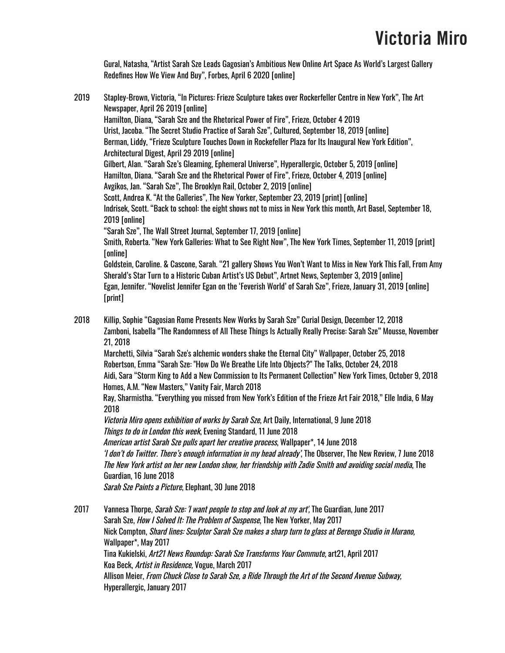Gural, Natasha, "Artist Sarah Sze Leads Gagosian's Ambitious New Online Art Space As World's Largest Gallery Redefines How We View And Buy", Forbes, April 6 2020 [online]

2019 Stapley-Brown, Victoria, "In Pictures: Frieze Sculpture takes over Rockerfeller Centre in New York", The Art Newspaper, April 26 2019 [online] Hamilton, Diana, "Sarah Sze and the Rhetorical Power of Fire", Frieze, October 4 2019 Urist, Jacoba. "The Secret Studio Practice of Sarah Sze", Cultured, September 18, 2019 [online] Berman, Liddy, "Frieze Sculpture Touches Down in Rockefeller Plaza for Its Inaugural New York Edition", Architectural Digest, April 29 2019 [online] Gilbert, Alan. "Sarah Sze's Gleaming, Ephemeral Universe", Hyperallergic, October 5, 2019 [online] Hamilton, Diana. "Sarah Sze and the Rhetorical Power of Fire", Frieze, October 4, 2019 [online] Avgikos, Jan. "Sarah Sze", The Brooklyn Rail, October 2, 2019 [online] Scott, Andrea K. "At the Galleries", The New Yorker, September 23, 2019 [print] [online] Indrisek, Scott. "Back to school: the eight shows not to miss in New York this month, Art Basel, September 18, 2019 [online] "Sarah Sze", The Wall Street Journal, September 17, 2019 [online] Smith, Roberta. "New York Galleries: What to See Right Now", The New York Times, September 11, 2019 [print] [online] Goldstein, Caroline. & Cascone, Sarah. "21 gallery Shows You Won't Want to Miss in New York This Fall, From Amy Sherald's Star Turn to a Historic Cuban Artist's US Debut", Artnet News, September 3, 2019 [online] Egan, Jennifer. "Novelist Jennifer Egan on the 'Feverish World' of Sarah Sze", Frieze, January 31, 2019 [online] [print] 2018 Killip, Sophie "Gagosian Rome Presents New Works by Sarah Sze" Curial Design, December 12, 2018 Zamboni, Isabella "The Randomness of All These Things Is Actually Really Precise: Sarah Sze" Mousse, November 21, 2018 Marchetti, Silvia "Sarah Sze's alchemic wonders shake the Eternal City" Wallpaper, October 25, 2018 Robertson, Emma "Sarah Sze: "How Do We Breathe Life Into Objects?" The Talks, October 24, 2018 Aidi, Sara "Storm King to Add a New Commission to Its Permanent Collection" New York Times, October 9, 2018 Homes, A.M. "New Masters," Vanity Fair, March 2018 Ray, Sharmistha. "Everything you missed from New York's Edition of the Frieze Art Fair 2018," Elle India, 6 May 2018 Victoria Miro opens exhibition of works by Sarah Sze, Art Daily, International, 9 June 2018 Things to do in London this week, Evening Standard, 11 June 2018 American artist Sarah Sze pulls apart her creative process, Wallpaper\*, 14 June 2018 'I don't do Twitter. There's enough information in my head already', The Observer, The New Review, 7 June 2018 The New York artist on her new London show, her friendship with Zadie Smith and avoiding social media, The Guardian, 16 June 2018 Sarah Sze Paints a Picture, Elephant, 30 June 2018 2017 Vannesa Thorpe, *Sarah Sze: 'I want people to stop and look at my art'*, The Guardian, June 2017

Sarah Sze, How I Solved It: The Problem of Suspense, The New Yorker, May 2017 Nick Compton, Shard lines: Sculptor Sarah Sze makes <sup>a</sup> sharp turn to glass at Berengo Studio in Murano, Wallpaper\*, May 2017 Tina Kukielski, Art21 News Roundup: Sarah Sze Transforms Your Commute, art21, April 2017 Koa Beck, Artist in Residence, Vogue, March 2017 Allison Meier, From Chuck Close to Sarah Sze, <sup>a</sup> Ride Through the Art of the Second Avenue Subway, Hyperallergic, January 2017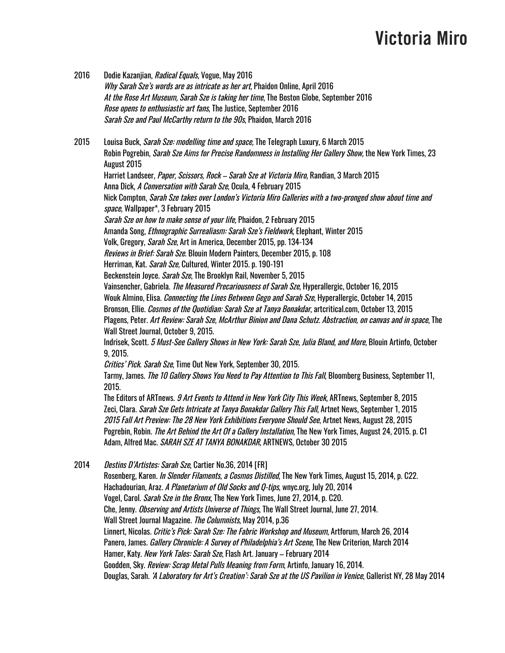2016 Dodie Kazanjian, Radical Equals, Vogue, May 2016 Why Sarah Sze's words are as intricate as her art, Phaidon Online, April 2016 At the Rose Art Museum, Sarah Sze is taking her time, The Boston Globe, September 2016 Rose opens to enthusiastic art fans, The Justice, September 2016 Sarah Sze and Paul McCarthy return to the 90s, Phaidon, March 2016 2015 Louisa Buck, Sarah Sze: modelling time and space, The Telegraph Luxury, 6 March 2015 Robin Pogrebin, Sarah Sze Aims for Precise Randomness in Installing Her Gallery Show, the New York Times, 23 August 2015 Harriet Landseer, *Paper, Scissors, Rock – Sarah Sze at Victoria Miro*, Randian, 3 March 2015 Anna Dick, A Conversation with Sarah Sze, Ocula, 4 February 2015 Nick Compton, Sarah Sze takes over London's Victoria Miro Galleries with <sup>a</sup> two-pronged show about time and space, Wallpaper\*, 3 February 2015 Sarah Sze on how to make sense of your life, Phaidon, 2 February 2015 Amanda Song, *Ethnographic Surrealiasm: Sarah Sze's Fieldwork*, Elephant, Winter 2015 Volk, Gregory, *Sarah Sze*, Art in America, December 2015, pp. 134-134 Reviews in Brief: Sarah Sze. Blouin Modern Painters, December 2015, p. 108 Herriman, Kat. *Sarah Sze*, Cultured, Winter 2015. p. 190-191 Beckenstein Joyce. *Sarah Sze*, The Brooklyn Rail, November 5, 2015 Vainsencher, Gabriela. The Measured Precariousness of Sarah Sze, Hyperallergic, October 16, 2015 Wouk Almino, Elisa. *Connecting the Lines Between Gego and Sarah Sze*, Hyperallergic, October 14, 2015 Bronson, Ellie. *Cosmos of the Quotidian: Sarah Sze at Tanya Bonakdar*, artcritical.com, October 13, 2015 Plagens, Peter. Art Review: Sarah Sze, McArthur Binion and Dana Schutz. Abstraction, on canvas and in space, The Wall Street Journal, October 9, 2015. Indrisek, Scott. 5 Must-See Gallery Shows in New York: Sarah Sze, Julia Bland, and More, Blouin Artinfo, October 9, 2015. Critics' Pick. Sarah Sze, Time Out New York, September 30, 2015. Tarmy, James. *The 10 Gallery Shows You Need to Pay Attention to This Fall*, Bloomberg Business, September 11, 2015. The Editors of ARTnews. 9 Art Events to Attend in New York City This Week, ARTnews, September 8, 2015 Zeci, Clara. Sarah Sze Gets Intricate at Tanya Bonakdar Gallery This Fall, Artnet News, September 1, 2015 2015 Fall Art Preview: The 28 New York Exhibitions Everyone Should See, Artnet News, August 28, 2015 Pogrebin, Robin. *The Art Behind the Art Of a Gallery Installation*, The New York Times, August 24, 2015. p. C1 Adam, Alfred Mac. SARAH SZE AT TANYA BONAKDAR, ARTNEWS, October 30 2015 2014 Destins D'Artistes: Sarah Sze, Cartier No.36, 2014 [FR] Rosenberg, Karen. *In Slender Filaments, a Cosmos Distilled*, The New York Times, August 15, 2014, p. C22. Hachadourian, Araz. A Planetarium of Old Socks and Q-tips, wnyc.org, July 20, 2014 Vogel, Carol. Sarah Sze in the Bronx, The New York Times, June 27, 2014, p. C20. Che, Jenny. *Observing and Artists Universe of Things*, The Wall Street Journal, June 27, 2014. Wall Street Journal Magazine. *The Columnists*, May 2014, p.36 Linnert, Nicolas. Critic's Pick: Sarah Sze: The Fabric Workshop and Museum, Artforum, March 26, 2014 Panero, James. *Gallery Chronicle: A Survey of Philadelphia's Art Scene*, The New Criterion, March 2014 Hamer, Katy. New York Tales: Sarah Sze, Flash Art. January – February 2014 Goodden, Sky. Review: Scrap Metal Pulls Meaning from Form, Artinfo, January 16, 2014. Douglas, Sarah. 'A Laboratory for Art's Creation': Sarah Sze at the US Pavilion in Venice, Gallerist NY, 28 May 2014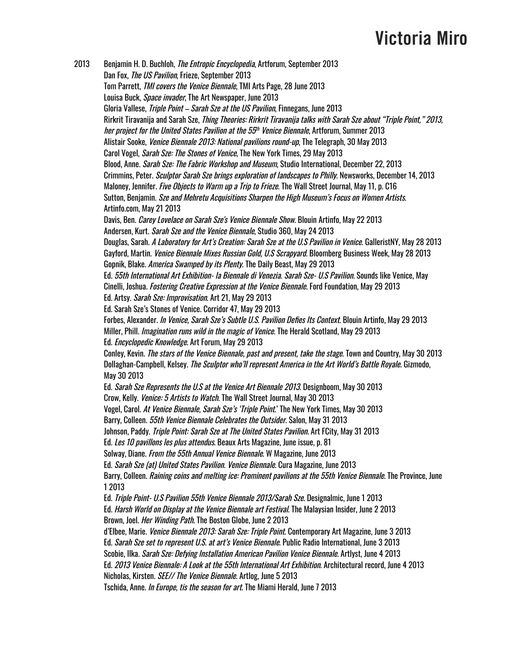2013 Benjamin H. D. Buchloh, *The Entropic Encyclopedia*, Artforum, September 2013 Dan Fox, The US Pavilion, Frieze, September 2013 Tom Parrett, TMI covers the Venice Biennale, TMI Arts Page, 28 June 2013 Louisa Buck, *Space invader*, The Art Newspaper, June 2013 Gloria Vallese, *Triple Point – Sarah Sze at the US Pavilion*, Finnegans, June 2013 Rirkrit Tiravanija and Sarah Sze, Thing Theories: Rirkrit Tiravanija talks with Sarah Sze about "Triple Point," 2013, her project for the United States Pavilion at the 55<sup>th</sup> Venice Biennale, Artforum, Summer 2013 Alistair Sooke, *Venice Biennale 2013: National pavilions round-up*, The Telegraph, 30 May 2013 Carol Vogel, *Sarah Sze: The Stones of Venice*, The New York Times, 29 May 2013 Blood, Anne. *Sarah Sze: The Fabric Workshop and Museum*, Studio International, December 22, 2013 Crimmins, Peter. Sculptor Sarah Sze brings exploration of landscapes to Philly. Newsworks, December 14, 2013 Maloney, Jennifer. *Five Objects to Warm up a Trip to Frieze*. The Wall Street Journal, May 11, p. C16 Sutton, Benjamin. Sze and Mehretu Acquisitions Sharpen the High Museum's Focus on Women Artists. Artinfo.com, May 21 2013 Davis, Ben. *Carey Lovelace on Sarah Sze's Venice Biennale Show*. Blouin Artinfo, May 22 2013 Andersen, Kurt. Sarah Sze and the Venice Biennale, Studio 360, May 24 2013 Douglas, Sarah. *A Laboratory for Art's Creation: Sarah Sze at the U.S Pavilion in Venice*. GalleristNY, May 28 2013 Gayford, Martin. *Venice Biennale Mixes Russian Gold, U.S Scrapyard*. Bloomberg Business Week, May 28 2013 Gopnik, Blake. America Swamped by its Plenty. The Daily Beast, May 29 2013 Ed. 55th International Art Exhibition- la Biennale di Venezia. Sarah Sze- U.S Pavilion. Sounds like Venice, May Cinelli, Joshua. Fostering Creative Expression at the Venice Biennale. Ford Foundation, May 29 2013 Ed. Artsy. Sarah Sze: Improvisation. Art 21, May 29 2013 Ed. Sarah Sze's Stones of Venice. Corridor 47, May 29 2013 Forbes, Alexander. In Venice, Sarah Sze's Subtle U.S. Pavilion Defies Its Context. Blouin Artinfo, May 29 2013 Miller, Phill. *Imagination runs wild in the magic of Venice*. The Herald Scotland, May 29 2013 Ed. Encyclopedic Knowledge. Art Forum, May 29 2013 Conley, Kevin. The stars of the Venice Biennale, past and present, take the stage. Town and Country, May 30 2013 Dollaghan-Campbell, Kelsey. The Sculptor who'll represent America in the Art World's Battle Royale. Gizmodo, May 30 2013 Ed. Sarah Sze Represents the U.S at the Venice Art Biennale 2013. Designboom, May 30 2013 Crow, Kelly. Venice: 5 Artists to Watch. The Wall Street Journal, May 30 2013 Vogel, Carol. At Venice Biennale, Sarah Sze's 'Triple Point.' The New York Times, May 30 2013 Barry, Colleen. 55th Venice Biennale Celebrates the Outsider. Salon, May 31 2013 Johnson, Paddy. *Triple Point: Sarah Sze at The United States Pavilion*. Art FCity, May 31 2013 Ed. Les 10 pavillons les plus attendus. Beaux Arts Magazine, June issue, p. 81 Solway, Diane. *From the 55th Annual Venice Biennale*. W Magazine, June 2013 Ed. Sarah Sze (at) United States Pavilion. Venice Biennale. Cura Magazine, June 2013 Barry, Colleen. Raining coins and melting ice: Prominent pavilions at the 55th Venice Biennale. The Province, June 1 2013 Ed. Triple Point- U.S Pavilion 55th Venice Biennale 2013/Sarah Sze. Designalmic, June 1 2013 Ed. Harsh World on Display at the Venice Biennale art Festival. The Malaysian Insider, June 2 2013 Brown, Joel. Her Winding Path. The Boston Globe, June 2 2013 d'Elbee, Marie. *Venice Biennale 2013: Sarah Sze: Triple Point*. Contemporary Art Magazine, June 3 2013 Ed. Sarah Sze set to represent U.S. at art's Venice Biennale. Public Radio International, June 3 2013 Scobie, Ilka. *Sarah Sze: Defying Installation American Pavilion Venice Biennale*. Artlyst, June 4 2013 Ed. 2013 Venice Biennale: A Look at the 55th International Art Exhibition. Architectural record, June 4 2013 Nicholas, Kirsten. *SEE// The Venice Biennale*. Artlog, June 5 2013 Tschida, Anne. In Europe, tis the season for art. The Miami Herald, June 7 2013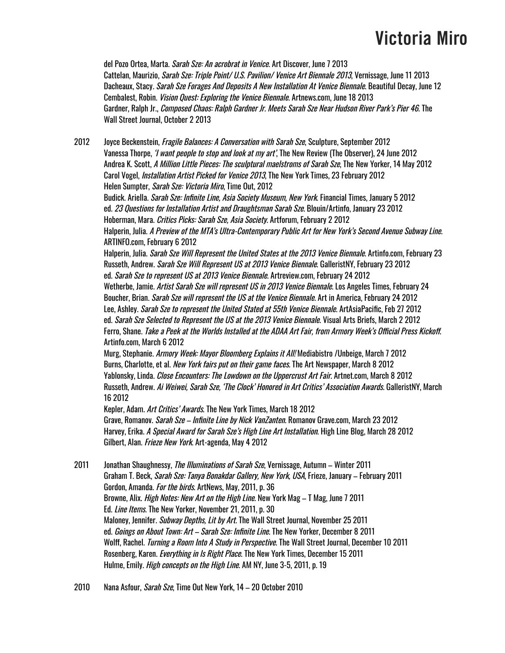del Pozo Ortea, Marta. *Sarah Sze: An acrobrat in Venice*. Art Discover, June 7 2013 Cattelan, Maurizio, Sarah Sze: Triple Point/ U.S. Pavilion/ Venice Art Biennale 2013, Vernissage, June 11 2013 Dacheaux, Stacy. *Sarah Sze Forages And Deposits A New Installation At Venice Biennale*. Beautiful Decay, June 12 Cembalest, Robin. Vision Quest: Exploring the Venice Biennale. Artnews.com, June 18 2013 Gardner, Ralph Jr., Composed Chaos: Ralph Gardner Jr. Meets Sarah Sze Near Hudson River Park's Pier 46. The Wall Street Journal, October 2 2013

2012 Joyce Beckenstein, *Fragile Balances: A Conversation with Sarah Sze*, Sculpture, September 2012 Vanessa Thorpe, *'I want people to stop and look at my art'*, The New Review (The Observer), 24 June 2012 Andrea K. Scott, A Million Little Pieces: The sculptural maelstroms of Sarah Sze, The New Yorker, 14 May 2012 Carol Vogel, Installation Artist Picked for Venice 2013, The New York Times, 23 February 2012 Helen Sumpter, Sarah Sze: Victoria Miro, Time Out, 2012 Budick. Ariella. *Sarah Sze: Infinite Line, Asia Society Museum, New York*. Financial Times, January 5 2012 ed. 23 Questions for Installation Artist and Draughtsman Sarah Sze. Blouin/Artinfo, January 23 2012 Hoberman, Mara. *Critics Picks: Sarah Sze, Asia Society*. Artforum, February 2 2012 Halperin, Julia. A Preview of the MTA's Ultra-Contemporary Public Art for New York's Second Avenue Subway Line. ARTINFO.com, February 6 2012 Halperin, Julia. Sarah Sze Will Represent the United States at the 2013 Venice Biennale. Artinfo.com, February 23 Russeth, Andrew. Sarah Sze Will Represent US at 2013 Venice Biennale. GalleristNY, February 23 2012 ed. Sarah Sze to represent US at 2013 Venice Biennale. Artreview.com, February 24 2012 Wetherbe, Jamie, *Artist Sarah Sze will represent US in 2013 Venice Biennale*. Los Angeles Times, February 24 Boucher, Brian. *Sarah Sze will represent the US at the Venice Biennale*. Art in America, February 24 2012 Lee, Ashley. Sarah Sze to represent the United Stated at 55th Venice Biennale. ArtAsiaPacific, Feb 27 2012 ed. Sarah Sze Selected to Represent the US at the 2013 Venice Biennale. Visual Arts Briefs, March 2 2012 Ferro, Shane. Take <sup>a</sup> Peek at the Worlds Installed at the ADAA Art Fair, from Armory Week's Official Press Kickoff. Artinfo.com, March 6 2012 Murg, Stephanie. Armory Week: Mayor Bloomberg Explains it All! Mediabistro /Unbeige, March 7 2012 Burns, Charlotte, et al. *New York fairs put on their game faces*. The Art Newspaper, March 8 2012 Yablonsky, Linda. Close Encounters: The Lowdown on the Uppercrust Art Fair. Artnet.com, March 8 2012 Russeth, Andrew. Ai Weiwei, Sarah Sze, 'The Clock' Honored in Art Critics' Association Awards. GalleristNY, March 16 2012 Kepler, Adam. Art Critics' Awards. The New York Times, March 18 2012

Grave, Romanov. *Sarah Sze – Infinite Line by Nick VanZanten*. Romanov Grave.com, March 23 2012 Harvey, Erika. A Special Award for Sarah Sze's High Line Art Installation. High Line Blog, March 28 2012 Gilbert, Alan. Frieze New York. Art-agenda, May 4 2012

2011 Jonathan Shaughnessy, The Illuminations of Sarah Sze, Vernissage, Autumn – Winter 2011 Graham T. Beck, Sarah Sze: Tanya Bonakdar Gallery, New York, USA, Frieze, January – February 2011 Gordon, Amanda. For the birds. ArtNews, May, 2011, p. 36 Browne, Alix. *High Notes: New Art on the High Line*. New York Mag – T Mag, June 7 2011 Ed. *Line Items*. The New Yorker, November 21, 2011, p. 30 Maloney, Jennifer. Subway Depths, Lit by Art. The Wall Street Journal, November 25 2011 ed. Goings on About Town: Art – Sarah Sze: Infinite Line. The New Yorker, December 8 2011 Wolff, Rachel. Turning <sup>a</sup> Room Into A Study in Perspective. The Wall Street Journal, December 10 2011 Rosenberg, Karen. *Everything in Is Right Place*. The New York Times, December 15 2011 Hulme, Emily. *High concepts on the High Line*. AM NY, June 3-5, 2011, p. 19

2010 Nana Asfour, *Sarah Sze*, Time Out New York, 14 – 20 October 2010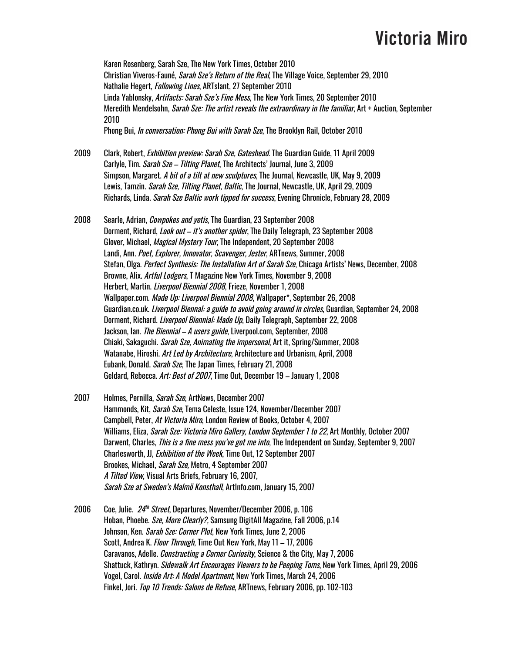Karen Rosenberg, Sarah Sze, The New York Times, October 2010 Christian Viveros-Fauné, *Sarah Sze's Return of the Real*, The Village Voice, September 29, 2010 Nathalie Hegert, Following Lines, ARTslant, 27 September 2010 Linda Yablonsky, Artifacts: Sarah Sze's Fine Mess, The New York Times, 20 September 2010 Meredith Mendelsohn, *Sarah Sze: The artist reveals the extraordinary in the familiar*, Art + Auction, September 2010 Phong Bui, *In conversation: Phong Bui with Sarah Sze*, The Brooklyn Rail, October 2010

- 2009 Clark, Robert, *Exhibition preview: Sarah Sze, Gateshead*. The Guardian Guide, 11 April 2009 Carlyle, Tim. Sarah Sze - Tilting Planet, The Architects' Journal, June 3, 2009 Simpson, Margaret. A bit of a tilt at new sculptures, The Journal, Newcastle, UK, May 9, 2009 Lewis, Tamzin. *Sarah Sze, Tilting Planet, Baltic*, The Journal, Newcastle, UK, April 29, 2009 Richards, Linda. *Sarah Sze Baltic work tipped for success*, Evening Chronicle, February 28, 2009
- 2008 Searle, Adrian, *Cowpokes and vetis*, The Guardian, 23 September 2008 Dorment, Richard, *Look out – it's another spider*, The Daily Telegraph, 23 September 2008 Glover, Michael, Magical Mystery Tour, The Independent, 20 September 2008 Landi, Ann. Poet, Explorer, Innovator, Scavenger, Jester, ARTnews, Summer, 2008 Stefan, Olga. *Perfect Synthesis: The Installation Art of Sarah Sze*, Chicago Artists' News, December, 2008 Browne, Alix. Artful Lodgers, T Magazine New York Times, November 9, 2008 Herbert, Martin. Liverpool Biennial 2008, Frieze, November 1, 2008 Wallpaper.com. Made Up: Liverpool Biennial 2008, Wallpaper\*, September 26, 2008 Guardian.co.uk. *Liverpool Biennal: a guide to avoid going around in circles*, Guardian, September 24, 2008 Dorment, Richard. Liverpool Biennial: Made Up, Daily Telegraph, September 22, 2008 Jackson, Ian. The Biennial - A users guide, Liverpool.com, September, 2008 Chiaki, Sakaguchi. *Sarah Sze, Animating the impersonal*, Art it, Spring/Summer, 2008 Watanabe, Hiroshi. Art Led by Architecture, Architecture and Urbanism, April, 2008 Eubank, Donald. *Sarah Sze*, The Japan Times, February 21, 2008 Geldard, Rebecca. Art: Best of 2007, Time Out, December 19 - January 1, 2008
- 2007 Holmes, Pernilla, *Sarah Sze*, ArtNews, December 2007 Hammonds, Kit, Sarah Sze, Tema Celeste, Issue 124, November/December 2007 Campbell, Peter, At Victoria Miro, London Review of Books, October 4, 2007 Williams, Eliza, Sarah Sze: Victoria Miro Gallery, London September 1 to 22, Art Monthly, October 2007 Darwent, Charles, *This is a fine mess you've got me into*, The Independent on Sunday, September 9, 2007 Charlesworth, JJ, Exhibition of the Week, Time Out, 12 September 2007 Brookes, Michael, Sarah Sze, Metro, 4 September 2007 A Tilted View, Visual Arts Briefs, February 16, 2007, Sarah Sze at Sweden's Malmö Konsthall, ArtInfo.com, January 15, 2007
- 2006 Coe, Julie. *24<sup>th</sup> Street*, Departures, November/December 2006, p. 106 Hoban, Phoebe. Sze, More Clearly?, Samsung DigitAll Magazine, Fall 2006, p.14 Johnson, Ken. Sarah Sze: Corner Plot, New York Times, June 2, 2006 Scott, Andrea K. Floor Through, Time Out New York, May 11 – 17, 2006 Caravanos, Adelle. Constructing a Corner Curiosity, Science & the City, May 7, 2006 Shattuck, Kathryn. *Sidewalk Art Encourages Viewers to be Peeping Toms*, New York Times, April 29, 2006 Vogel, Carol. Inside Art: A Model Apartment, New York Times, March 24, 2006 Finkel, Jori. Top 10 Trends: Salons de Refuse, ARTnews, February 2006, pp. 102-103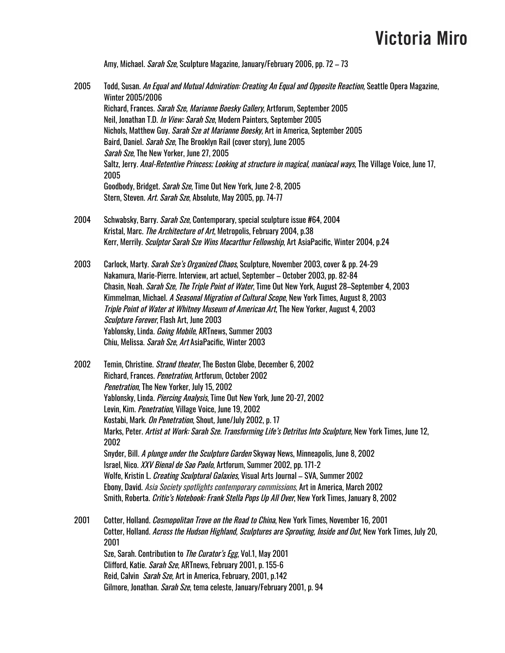Amy, Michael. *Sarah Sze*, Sculpture Magazine, January/February 2006, pp. 72 – 73

- 2005 Todd, Susan. An Equal and Mutual Admiration: Creating An Equal and Opposite Reaction, Seattle Opera Magazine, Winter 2005/2006 Richard, Frances. Sarah Sze, Marianne Boesky Gallery, Artforum, September 2005 Neil, Jonathan T.D. In View: Sarah Sze, Modern Painters, September 2005 Nichols, Matthew Guy. Sarah Sze at Marianne Boesky, Art in America, September 2005 Baird, Daniel. *Sarah Sze*, The Brooklyn Rail (cover story), June 2005 Sarah Sze, The New Yorker, June 27, 2005 Saltz, Jerry. Anal-Retentive Princess; Looking at structure in magical, maniacal ways, The Village Voice, June 17, 2005 Goodbody, Bridget. *Sarah Sze*, Time Out New York, June 2-8, 2005 Stern, Steven. Art. Sarah Sze, Absolute, May 2005, pp. 74-77
- 2004 Schwabsky, Barry. Sarah Sze, Contemporary, special sculpture issue #64, 2004 Kristal, Marc. The Architecture of Art, Metropolis, February 2004, p.38 Kerr, Merrily. *Sculptor Sarah Sze Wins Macarthur Fellowship*, Art AsiaPacific, Winter 2004, p.24
- 2003 Carlock, Marty. Sarah Sze's Organized Chaos, Sculpture, November 2003, cover & pp. 24-29 Nakamura, Marie-Pierre. Interview, art actuel, September – October 2003, pp. 82-84 Chasin, Noah. Sarah Sze, The Triple Point of Water, Time Out New York, August 28–September 4, 2003 Kimmelman, Michael. A Seasonal Migration of Cultural Scope, New York Times, August 8, 2003 Triple Point of Water at Whitney Museum of American Art, The New Yorker, August 4, 2003 Sculpture Forever, Flash Art, June 2003 Yablonsky, Linda. Going Mobile, ARTnews, Summer 2003 Chiu, Melissa. *Sarah Sze, Art* AsiaPacific, Winter 2003
- 2002 Temin, Christine. *Strand theater*, The Boston Globe, December 6, 2002 Richard, Frances. Penetration, Artforum, October 2002 Penetration, The New Yorker, July 15, 2002 Yablonsky, Linda. Piercing Analysis, Time Out New York, June 20-27, 2002 Levin, Kim. *Penetration*, Village Voice, June 19, 2002 Kostabi, Mark. On Penetration, Shout, June/July 2002, p. 17 Marks, Peter. Artist at Work: Sarah Sze. Transforming Life's Detritus Into Sculpture, New York Times, June 12, 2002 Snyder, Bill. A plunge under the Sculpture Garden Skyway News, Minneapolis, June 8, 2002 Israel, Nico. XXV Bienal de Sao Paolo, Artforum, Summer 2002, pp. 171-2 Wolfe, Kristin L. *Creating Sculptural Galaxies*, Visual Arts Journal – SVA, Summer 2002 Ebony, David. Asia Society spotlights contemporary commissions, Art in America, March 2002 Smith, Roberta. Critic's Notebook: Frank Stella Pops Up All Over, New York Times, January 8, 2002 2001 Cotter, Holland. *Cosmopolitan Trove on the Road to China*, New York Times, November 16, 2001 Cotter, Holland. Across the Hudson Highland, Sculptures are Sprouting, Inside and Out, New York Times, July 20, 2001

Sze, Sarah. Contribution to *The Curator's Egg*, Vol.1, May 2001 Clifford, Katie. *Sarah Sze*, ARTnews, February 2001, p. 155-6 Reid, Calvin Sarah Sze, Art in America, February, 2001, p.142 Gilmore, Jonathan. *Sarah Sze*, tema celeste, January/February 2001, p. 94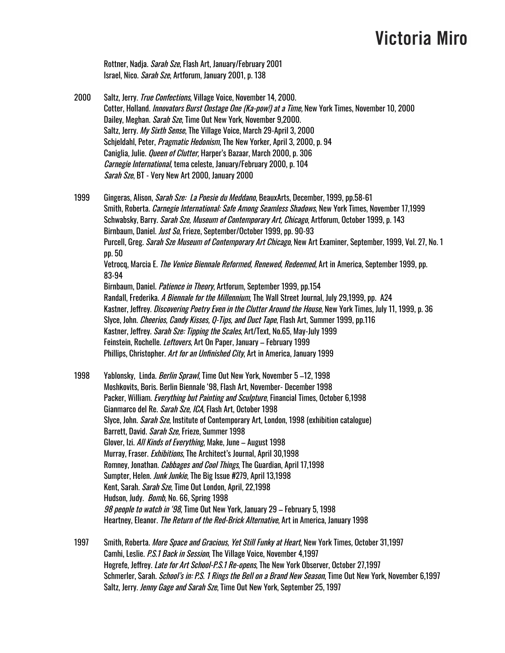Rottner, Nadja. Sarah Sze, Flash Art, January/February 2001 Israel, Nico. Sarah Sze, Artforum, January 2001, p. 138

2000 Saltz, Jerry. *True Confections*, Village Voice, November 14, 2000. Cotter, Holland. *Innovators Burst Onstage One (Ka-pow!) at a Time*, New York Times, November 10, 2000 Dailey, Meghan. *Sarah Sze*, Time Out New York, November 9,2000. Saltz, Jerry. My Sixth Sense, The Village Voice, March 29-April 3, 2000 Schjeldahl, Peter, *Pragmatic Hedonism*, The New Yorker, April 3, 2000, p. 94 Caniglia, Julie. *Queen of Clutter*, Harper's Bazaar, March 2000, p. 306 Carnegie International, tema celeste, January/February 2000, p. 104 Sarah Sze, BT - Very New Art 2000, January 2000

1999 Gingeras, Alison, *Sarah Sze: La Poesie du Meddano*, BeauxArts, December, 1999, pp.58-61 Smith, Roberta. *Carnegie International: Safe Among Seamless Shadows*, New York Times, November 17,1999 Schwabsky, Barry. *Sarah Sze, Museum of Contemporary Art, Chicago*, Artforum, October 1999, p. 143 Birnbaum, Daniel. Just So, Frieze, September/October 1999, pp. 90-93 Purcell, Greg. Sarah Sze Museum of Contemporary Art Chicago, New Art Examiner, September, 1999, Vol. 27, No. 1 pp. 50 Vetrocq, Marcia E. The Venice Biennale Reformed, Renewed, Redeemed, Art in America, September 1999, pp. 83-94 Birnbaum, Daniel. Patience in Theory, Artforum, September 1999, pp.154 Randall, Frederika. A Biennale for the Millennium, The Wall Street Journal, July 29,1999, pp. A24 Kastner, Jeffrey. Discovering Poetry Even in the Clutter Around the House, New York Times, July 11, 1999, p. 36 Slyce, John. *Cheerios, Candy Kisses, Q-Tips, and Duct Tape*, Flash Art, Summer 1999, pp.116 Kastner, Jeffrey. Sarah Sze: Tipping the Scales, Art/Text, No.65, May-July 1999 Feinstein, Rochelle. Leftovers, Art On Paper, January – February 1999 Phillips, Christopher. Art for an Unfinished City, Art in America, January 1999

1998 Yablonsky, Linda. Berlin Sprawl, Time Out New York, November 5-12, 1998 Moshkovits, Boris. Berlin Biennale '98, Flash Art, November- December 1998 Packer, William. *Everything but Painting and Sculpture*, Financial Times, October 6,1998 Gianmarco del Re. *Sarah Sze, ICA*, Flash Art, October 1998 Slyce, John. *Sarah Sze*, Institute of Contemporary Art, London, 1998 (exhibition catalogue) Barrett, David. Sarah Sze, Frieze, Summer 1998 Glover, Izi. All Kinds of Everything, Make, June – August 1998 Murray, Fraser. Exhibitions, The Architect's Journal, April 30,1998 Romney, Jonathan. Cabbages and Cool Things, The Guardian, April 17,1998 Sumpter, Helen. Junk Junkie, The Big Issue #279, April 13,1998 Kent, Sarah. Sarah Sze, Time Out London, April, 22,1998 Hudson, Judy. Bomb, No. 66, Spring 1998 98 people to watch in '98, Time Out New York, January 29 – February 5, 1998 Heartney, Eleanor. The Return of the Red-Brick Alternative, Art in America, January 1998

1997 Smith, Roberta. More Space and Gracious, Yet Still Funky at Heart, New York Times, October 31,1997 Camhi, Leslie. P.S.1 Back in Session, The Village Voice, November 4,1997 Hogrefe, Jeffrey. Late for Art School-P.S.1 Re-opens, The New York Observer, October 27,1997 Schmerler, Sarah. *School's in: P.S. 1 Rings the Bell on a Brand New Season*, Time Out New York, November 6,1997 Saltz, Jerry. Jenny Gage and Sarah Sze, Time Out New York, September 25, 1997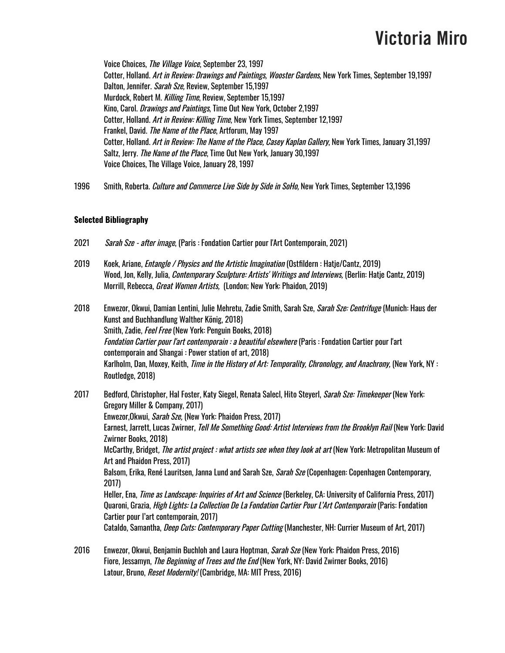Voice Choices, The Village Voice, September 23, 1997 Cotter, Holland. Art in Review: Drawings and Paintings, Wooster Gardens, New York Times, September 19,1997 Dalton, Jennifer. Sarah Sze, Review, September 15,1997 Murdock, Robert M. Killing Time, Review, September 15,1997 Kino, Carol. Drawings and Paintings, Time Out New York, October 2,1997 Cotter, Holland. Art in Review: Killing Time, New York Times, September 12,1997 Frankel, David. The Name of the Place, Artforum, May 1997 Cotter, Holland. Art in Review: The Name of the Place, Casey Kaplan Gallery, New York Times, January 31,1997 Saltz, Jerry. *The Name of the Place*, Time Out New York, January 30,1997 Voice Choices, The Village Voice, January 28, 1997

1996 Smith, Roberta. *Culture and Commerce Live Side by Side in SoHo*, New York Times, September 13,1996

### **Selected Bibliography**

- 2021 Sarah Sze after image, (Paris : Fondation Cartier pour l'Art Contemporain, 2021)
- 2019 Koek, Ariane, *Entangle / Physics and the Artistic Imagination* (Ostfildern: Hatje/Cantz, 2019) Wood, Jon, Kelly, Julia, Contemporary Sculpture: Artists' Writings and Interviews, (Berlin: Hatje Cantz, 2019) Morrill, Rebecca, *Great Women Artists*, (London; New York: Phaidon, 2019)
- 2018 Enwezor, Okwui, Damian Lentini, Julie Mehretu, Zadie Smith, Sarah Sze, *Sarah Sze: Centrifuge* (Munich: Haus der Kunst and Buchhandlung Walther König, 2018) Smith, Zadie, *Feel Free* (New York: Penguin Books, 2018) Fondation Cartier pour l'art contemporain : <sup>a</sup> beautiful elsewhere (Paris : Fondation Cartier pour l'art contemporain and Shangai : Power station of art, 2018) Karlholm, Dan, Moxey, Keith, *Time in the History of Art: Temporality, Chronology, and Anachrony,* (New York, NY : Routledge, 2018)
- 2017 Bedford, Christopher, Hal Foster, Katy Siegel, Renata Salecl, Hito Steyerl, Sarah Sze: Timekeeper (New York: Gregory Miller & Company, 2017) Enwezor,Okwui, Sarah Sze, (New York: Phaidon Press, 2017) Earnest, Jarrett, Lucas Zwirner, Tell Me Something Good: Artist Interviews from the Brooklyn Rail (New York: David Zwirner Books, 2018) McCarthy, Bridget, The artist project : what artists see when they look at art (New York: Metropolitan Museum of Art and Phaidon Press, 2017) Balsom, Erika, René Lauritsen, Janna Lund and Sarah Sze, *Sarah Sze* (Copenhagen: Copenhagen Contemporary, 2017) Heller, Ena, *Time as Landscape: Inquiries of Art and Science* (Berkeley, CA: University of California Press, 2017) Quaroni, Grazia, *High Lights: La Collection De La Fondation Cartier Pour L'Art Contemporain* (Paris: Fondation Cartier pour l'art contemporain, 2017) Cataldo, Samantha, Deep Cuts: Contemporary Paper Cutting (Manchester, NH: Currier Museum of Art, 2017)
- 2016 Enwezor, Okwui, Benjamin Buchloh and Laura Hoptman, Sarah Sze (New York: Phaidon Press, 2016) Fiore, Jessamyn, *The Beginning of Trees and the End* (New York, NY: David Zwirner Books, 2016) Latour, Bruno, *Reset Modernity!* (Cambridge, MA: MIT Press, 2016)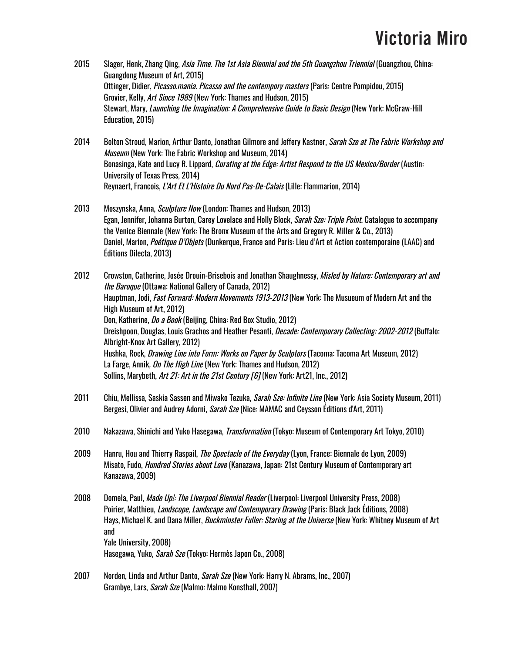- 2015 Slager, Henk, Zhang Qing, Asia Time. The 1st Asia Biennial and the 5th Guangzhou Triennial (Guangzhou, China: Guangdong Museum of Art, 2015) Ottinger, Didier, *Picasso.mania. Picasso and the contempory masters* (Paris: Centre Pompidou, 2015) Grovier, Kelly, Art Since 1989 (New York: Thames and Hudson, 2015) Stewart, Mary, *Launching the Imagination: A Comprehensive Guide to Basic Design* (New York: McGraw-Hill Education, 2015)
- 2014 Bolton Stroud, Marion, Arthur Danto, Jonathan Gilmore and Jeffery Kastner, Sarah Sze at The Fabric Workshop and Museum (New York: The Fabric Workshop and Museum, 2014) Bonasinga, Kate and Lucy R. Lippard, *Curating at the Edge: Artist Respond to the US Mexico/Border* (Austin: University of Texas Press, 2014) Reynaert, Francois, L'Art Et L'Histoire Du Nord Pas-De-Calais (Lille: Flammarion, 2014)
- 2013 Moszynska, Anna, *Sculpture Now* (London: Thames and Hudson, 2013) Egan, Jennifer, Johanna Burton, Carey Lovelace and Holly Block, *Sarah Sze: Triple Point*. Catalogue to accompany the Venice Biennale (New York: The Bronx Museum of the Arts and Gregory R. Miller & Co., 2013) Daniel, Marion, *Poétique D'Objets* (Dunkerque, France and Paris: Lieu d'Art et Action contemporaine (LAAC) and Éditions Dilecta, 2013)

2012 Crowston, Catherine, Josée Drouin-Brisebois and Jonathan Shaughnessy, Misled by Nature: Contemporary art and the Baroque (Ottawa: National Gallery of Canada, 2012) Hauptman, Jodi, Fast Forward: Modern Movements 1913-2013 (New York: The Musueum of Modern Art and the High Museum of Art, 2012) Don, Katherine, *Do a Book* (Beijing, China: Red Box Studio, 2012) Dreishpoon, Douglas, Louis Grachos and Heather Pesanti, *Decade: Contemporary Collecting: 2002-2012* (Buffalo: Albright-Knox Art Gallery, 2012) Hushka, Rock, Drawing Line into Form: Works on Paper by Sculptors (Tacoma: Tacoma Art Museum, 2012) La Farge, Annik, On The High Line (New York: Thames and Hudson, 2012) Sollins, Marybeth, Art 21: Art in the 21st Century [6] (New York: Art21, Inc., 2012)

- 2011 Chiu, Mellissa, Saskia Sassen and Miwako Tezuka, *Sarah Sze: Infinite Line* (New York: Asia Society Museum, 2011) Bergesi, Olivier and Audrey Adorni, *Sarah Sze* (Nice: MAMAC and Ceysson Éditions d'Art, 2011)
- 2010 Nakazawa, Shinichi and Yuko Hasegawa, *Transformation* (Tokyo: Museum of Contemporary Art Tokyo, 2010)
- 2009 Hanru, Hou and Thierry Raspail, *The Spectacle of the Everyday* (Lyon, France: Biennale de Lyon, 2009) Misato, Fudo, Hundred Stories about Love (Kanazawa, Japan: 21st Century Museum of Contemporary art Kanazawa, 2009)
- 2008 Domela, Paul, *Made Up!: The Liverpool Biennial Reader* (Liverpool: Liverpool University Press, 2008) Poirier, Matthieu, *Landscope, Landscape and Contemporary Drawing* (Paris: Black Jack Éditions, 2008) Hays, Michael K. and Dana Miller, *Buckminster Fuller: Staring at the Universe* (New York: Whitney Museum of Art and Yale University, 2008) Hasegawa, Yuko, *Sarah Sze* (Tokyo: Hermès Japon Co., 2008)
- 2007 Norden, Linda and Arthur Danto, Sarah Sze (New York: Harry N. Abrams, Inc., 2007) Grambye, Lars, *Sarah Sze* (Malmo: Malmo Konsthall, 2007)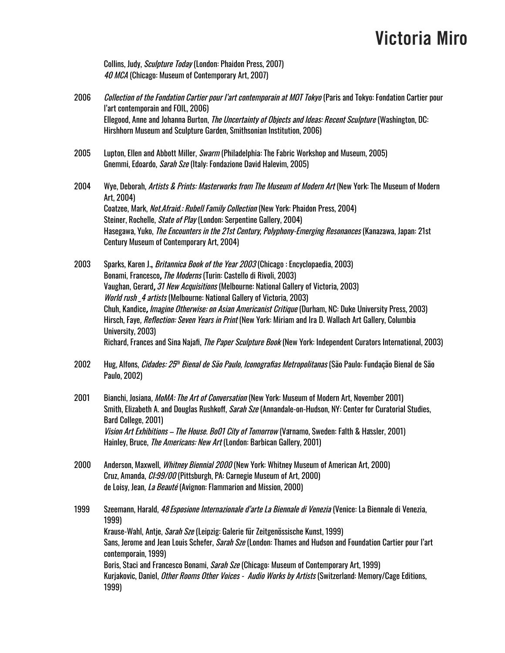Collins, Judy, Sculpture Today (London: Phaidon Press, 2007) 40 MCA (Chicago: Museum of Contemporary Art, 2007)

- 2006 *Collection of the Fondation Cartier pour l'art contemporain at MOT Tokyo* (Paris and Tokyo: Fondation Cartier pour l'art contemporain and FOIL, 2006) Ellegood, Anne and Johanna Burton, *The Uncertainty of Objects and Ideas: Recent Sculpture* (Washington, DC: Hirshhorn Museum and Sculpture Garden, Smithsonian Institution, 2006)
- 2005 Lupton, Ellen and Abbott Miller, *Swarm* (Philadelphia: The Fabric Workshop and Museum, 2005) Gnemmi, Edoardo, Sarah Sze (Italy: Fondazione David Halevim, 2005)
- 2004 Wye, Deborah, Artists & Prints: Masterworks from The Museum of Modern Art (New York: The Museum of Modern Art, 2004) Coatzee, Mark, *Not.Afraid.: Rubell Family Collection* (New York: Phaidon Press, 2004) Steiner, Rochelle, *State of Play* (London: Serpentine Gallery, 2004) Hasegawa, Yuko, The Encounters in the 21st Century, Polyphony-Emerging Resonances (Kanazawa, Japan: 21st Century Museum of Contemporary Art, 2004)
- 2003 Sparks, Karen J.**,** Britannica Book of the Year 2003 (Chicago : Encyclopaedia, 2003) Bonami, Francesco, *The Moderns* (Turin: Castello di Rivoli, 2003) Vaughan, Gerard, 31 New Acquisitions (Melbourne: National Gallery of Victoria, 2003) World rush \_4 artists (Melbourne: National Gallery of Victoria, 2003) Chuh, Kandice, *Imagine Otherwise: on Asian Americanist Critique* (Durham, NC: Duke University Press, 2003) Hirsch, Faye, *Reflection: Seven Years in Print* (New York: Miriam and Ira D. Wallach Art Gallery, Columbia University, 2003) Richard, Frances and Sina Najafi, *The Paper Sculpture Book* (New York: Independent Curators International, 2003)
- 2002 Hug, Alfons, *Cidades: 25<sup>th</sup> Bienal de São Paulo, Iconografias Metropolitanas* (São Paulo: Fundação Bienal de São Paulo, 2002)
- 2001 Bianchi, Josiana, *MoMA: The Art of Conversation* (New York: Museum of Modern Art, November 2001) Smith, Elizabeth A. and Douglas Rushkoff, *Sarah Sze* (Annandale-on-Hudson, NY: Center for Curatorial Studies, Bard College, 2001) Vision Art Exhibitions – The House. Bo01 City of Tomorrow (Varnamo, Sweden: Falth & Hassler, 2001) Hainley, Bruce, *The Americans: New Art* (London: Barbican Gallery, 2001)
- 2000 Anderson, Maxwell, *Whitney Biennial 2000* (New York: Whitney Museum of American Art, 2000) Cruz, Amanda, CI:99/00 (Pittsburgh, PA: Carnegie Museum of Art, 2000) de Loisy, Jean, La Beauté (Avignon: Flammarion and Mission, 2000)
- 1999 Szeemann, Harald, *48 Esposione Internazionale d'arte La Biennale di Venezia* (Venice: La Biennale di Venezia, 1999) Krause-Wahl, Antje, *Sarah Sze* (Leipzig: Galerie für Zeitgenössische Kunst, 1999) Sans, Jerome and Jean Louis Schefer, *Sarah Sze* (London: Thames and Hudson and Foundation Cartier pour l'art contemporain, 1999) Boris, Staci and Francesco Bonami, *Sarah Sze* (Chicago: Museum of Contemporary Art, 1999) Kurjakovic, Daniel, *Other Rooms Other Voices - Audio Works by Artists* (Switzerland: Memory/Cage Editions, 1999)